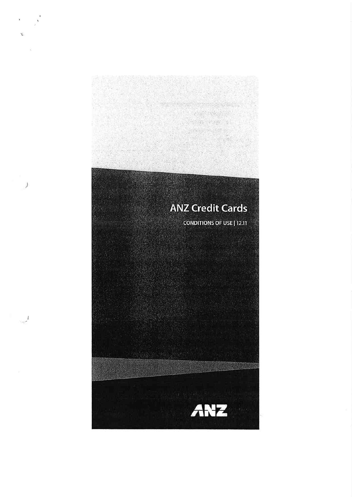

 $\left\langle \cdot\right\rangle$ 

 $\mathcal{I}$ 

 $\mathcal{O}(\mathcal{O}_\mathcal{P})$ 

29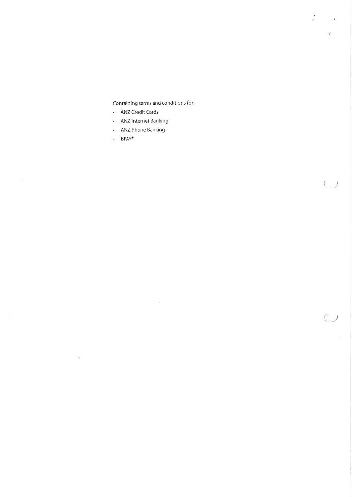Containing terms and conditions for:

 $\frac{1}{2}$ 

 $\mathcal{C}$ 

 $\overline{C}$ 

- ANZ Credit Cards
- · ANZ Internet Banking
- ANZ Phone Banking
- $\cdot$  BPAY®

 $\overline{\mathcal{M}}$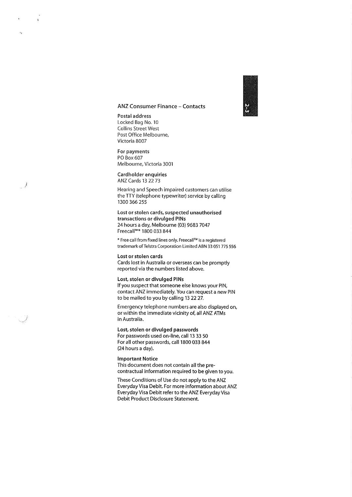# $\mathbf{v}$ I tx

## ANZ Consumer Finance - Contacts

Postal address Locked Bag No. 10 Collins Street West Post Office Melbourne, Victoria 8007

For payments PO Box 607 Melbourne, Victoria 3001

Cardholder enquiries ANZ Cards 132273

Hearing and Speech impaired customers can utilise the TTY (telephone typewriter) service by calling r300 366 255

Lost or stolen cards, suspected unauthorised transactions or divulged PlNs 24 hours a day, Melbourne (03) 9683 7047 Freecall'"\* 1800 033 844

\* Free call from fixed lines only. FreecallrM is a regìstered trademarkof Telstra Corporation Limited ABN 33 051 775 556

#### Lost or stolen cards

Cards lost in Australia or overseas can be promptly reported via the numbers listed above.

#### Lost, stolen or divulged PlNs

lf you suspect that someone else knows your PlN, contact ANZ immediately. You can request a new PIN to be mailed to you by calling 132227.

Emergency telephone numbers are also displayed on, or within the immediate vicinity of, all ANZ ATMs in Australia.

Lost, stolen or divulged passwords For passwords used on-line, call 13 33 50 For all other passwords, call 1800 033 844 (24 hours a day).

#### lmportant Notice

\_j

 $\overline{\phantom{0}}$ 

 $\mathbf{\bar{t}}$ 

This document does not contain all the precontractual information required to be given to you.

These Conditions of Use do not apply to the ANZ Everyday Visa Debit. For more information about ANZ Everyday Visa Debit refer to the ANZ Everyday Visa Debit Product Disclosure Statement.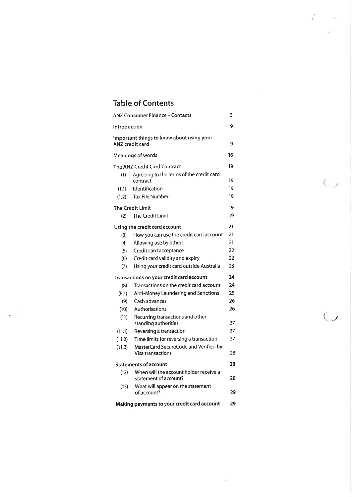# Table of Contents

| <b>ANZ Consumer Finance - Contacts</b> |                                                                     | 3  |  |
|----------------------------------------|---------------------------------------------------------------------|----|--|
| Introduction                           |                                                                     | 9  |  |
|                                        | Important things to know about using your<br><b>ANZ</b> credit card | 9  |  |
| <b>Meanings of words</b>               |                                                                     | 16 |  |
|                                        | The ANZ Credit Card Contract                                        | 19 |  |
| (1)                                    | Agreeing to the terms of the credit card<br>contract                | 19 |  |
| (1.1)                                  | Identification                                                      | 19 |  |
| (1.2)                                  | <b>Tax File Number</b>                                              | 19 |  |
|                                        | <b>The Credit Limit</b>                                             | 19 |  |
| (2)                                    | The Credit Limit                                                    | 19 |  |
|                                        | Using the credit card account                                       | 21 |  |
| (3)                                    | How you can use the credit card account                             | 21 |  |
| (4)                                    | Allowing use by others                                              | 21 |  |
| (5)                                    | Credit card acceptance                                              | 22 |  |
| (6)                                    | Credit card validity and expiry                                     | 22 |  |
| (7)                                    | Using your credit card outside Australia                            | 23 |  |
|                                        | Transactions on your credit card account                            | 24 |  |
| (8)                                    | Transactions on the credit card account                             | 24 |  |
| (8.1)                                  | Anti-Money Laundering and Sanctions                                 | 25 |  |
| (9)                                    | Cash advances                                                       | 26 |  |
| (10)                                   | Authorisations                                                      | 26 |  |
| (11)                                   | Recurring transactions and other<br>standing authorities            | 27 |  |
| (11.1)                                 | Reversing a transaction                                             | 27 |  |
| (11.2)                                 | Time limits for reversing a transaction                             | 27 |  |
| (11.3)                                 | MasterCard SecureCode and Verified by<br><b>Visa transactions</b>   | 28 |  |
|                                        | <b>Statements of account</b>                                        | 28 |  |
| (12)                                   | When will the account holder receive a<br>statement of account?     | 28 |  |
| (13)                                   | What will appear on the statement<br>of account?                    | 29 |  |
|                                        | Making payments to your credit card account                         | 29 |  |

ż

 $\alpha$ 

 $\overline{O}$ 

 $\overline{\mathcal{C}}$ 

Ž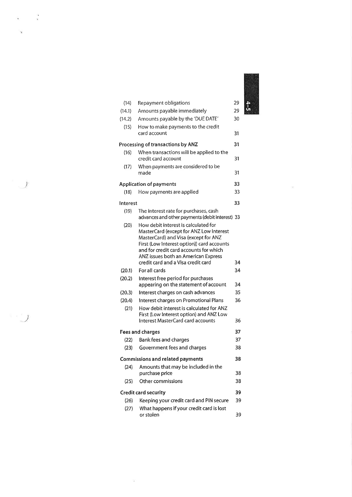| (14)     | Repayment obligations                                                              | 29 |
|----------|------------------------------------------------------------------------------------|----|
| (14.1)   | Amounts payable immediately                                                        | 29 |
| (14.2)   | Amounts payable by the 'DUE DATE'                                                  | 30 |
| (15)     | How to make payments to the credit<br>card account                                 | 31 |
|          | Processing of transactions by ANZ                                                  | 31 |
| (16)     | When transactions will be applied to the<br>credit card account                    | 31 |
| (17)     | When payments are considered to be<br>made                                         | 31 |
|          | <b>Application of payments</b>                                                     | 33 |
| (18)     | How payments are applied                                                           | 33 |
| Interest |                                                                                    | 33 |
| (19)     | The interest rate for purchases, cash                                              |    |
|          | advances and other payments (debit interest) 33                                    |    |
| (20)     | How debit interest is calculated for<br>MasterCard (except for ANZ Low interest    |    |
|          | MasterCard) and Visa (except for ANZ<br>First (Low Interest option)) card accounts |    |
|          | and for credit card accounts for which                                             |    |
|          | ANZ issues both an American Express<br>credit card and a Visa credit card          | 34 |
| (20.1)   | For all cards                                                                      | 34 |
| (20.2)   | Interest free period for purchases                                                 |    |
|          | appearing on the statement of account                                              | 34 |
| (20.3)   | Interest charges on cash advances                                                  | 35 |
| (20.4)   | Interest charges on Promotional Plans                                              | 36 |
| (21)     | How debit interest is calculated for ANZ                                           |    |
|          | First (Low Interest option) and ANZ Low<br>Interest MasterCard card accounts       | 36 |
|          |                                                                                    |    |
|          | Fees and charges                                                                   | 37 |
| (22)     | Bank fees and charges                                                              | 37 |
| (23)     | Government fees and charges                                                        | 38 |
|          | <b>Commissions and related payments</b>                                            | 38 |
| (24)     | Amounts that may be included in the<br>purchase price                              | 38 |
| (25)     | Other commissions                                                                  | 38 |
|          | <b>Credit card security</b>                                                        | 39 |
| (26)     | Keeping your credit card and PIN secure                                            | 39 |
| (27)     | What happens if your credit card is lost<br>or stolen                              | 39 |

 $\label{eq:2.1} \frac{\partial \mathcal{L}(\mathbf{x})}{\partial \mathbf{x}} = \mathbf{1}$ 

 $\frac{1}{2}$ 

 $\sim$  100  $\pm$ 

 $\mathcal{F}$ 

 $\label{eq:2.1} \widetilde{\alpha}_{\mathcal{I}} = \frac{8}{\kappa} \quad .$ 

 $\mathbf{v}$ 

 $\sum_{i=1}^{n}$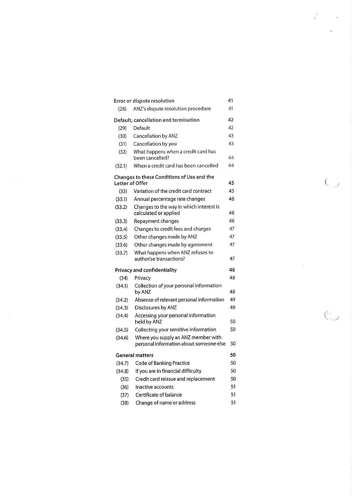| 41<br>Error or dispute resolution     |                                                                                |    |
|---------------------------------------|--------------------------------------------------------------------------------|----|
| (28)                                  | ANZ's dispute resolution procedure                                             | 41 |
| Default, cancellation and termination |                                                                                |    |
| (29)                                  | Default                                                                        | 42 |
| (30)                                  | Cancellation by ANZ                                                            | 43 |
| (31)                                  | Cancellation by you                                                            | 43 |
| (32)                                  | What happens when a credit card has<br>been cancelled?                         | 44 |
| (32.1)                                | When a credit card has been cancelled                                          | 44 |
| Letter of Offer                       | Changes to these Conditions of Use and the                                     | 45 |
| (33)                                  | Variation of the credit card contract                                          | 45 |
| (33.1)                                | Annual percentage rate changes                                                 | 46 |
| (33.2)                                | Changes to the way in which interest is<br>calculated or applied               | 46 |
| (33.3)                                | Repayment changes                                                              | 46 |
| (33.4)                                | Changes to credit fees and charges                                             | 47 |
| (33.5)                                | Other changes made by ANZ                                                      | 47 |
| (33.6)                                | Other changes made by agreement                                                | 47 |
| (33.7)                                | What happens when ANZ refuses to<br>authorise transactions?                    | 47 |
|                                       | Privacy and confidentiality                                                    | 48 |
| (34)                                  | Privacy                                                                        | 48 |
| (34.1)                                | Collection of your personal information<br>by ANZ                              | 48 |
| (34.2)                                | Absence of relevant personal information                                       | 49 |
| (34.3)                                | Disclosures by ANZ                                                             | 49 |
| (34.4)                                | Accessing your personal information<br>held by ANZ                             | 50 |
| (34.5)                                | Collecting your sensitive information                                          | 50 |
| (34.6)                                | Where you supply an ANZ member with<br>personal information about someone else | 50 |
|                                       | <b>General matters</b>                                                         | 50 |
| (34.7)                                | <b>Code of Banking Practice</b>                                                | 50 |
| (34.8)                                | If you are in financial difficulty                                             | 50 |
| (35)                                  | Credit card reissue and replacement                                            | 50 |
| (36)                                  | Inactive accounts                                                              | 51 |
| (37)                                  | Certificate of balance                                                         | 51 |
| (38)                                  | Change of name or address                                                      | 51 |

 $\frac{1}{2}$ 

 $\frac{1}{2}$ 

 $C_{\mathcal{L}}$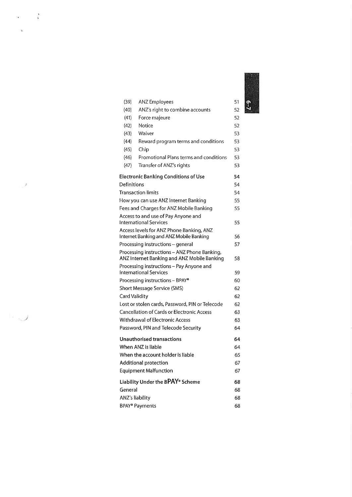| f. |   |
|----|---|
|    |   |
|    |   |
|    |   |
|    |   |
|    |   |
|    |   |
|    |   |
|    |   |
|    |   |
|    |   |
|    |   |
|    |   |
|    |   |
|    |   |
|    |   |
|    |   |
|    |   |
|    |   |
|    |   |
|    | ō |
|    |   |
|    |   |
|    |   |
|    |   |
|    |   |
|    |   |
|    |   |
|    |   |

| (39)                       | <b>ANZ Employees</b>                                                                        | 51 |
|----------------------------|---------------------------------------------------------------------------------------------|----|
| (40)                       | ANZ's right to combine accounts                                                             | 52 |
| (41)                       | Force majeure                                                                               | 52 |
| (42)                       | Notice                                                                                      | 52 |
| (43)                       | Waiver                                                                                      | 53 |
| (44)                       | Reward program terms and conditions                                                         | 53 |
| (45)                       | Chip                                                                                        | 53 |
| (46)                       | Promotional Plans terms and conditions                                                      | 53 |
| (47)                       | Transfer of ANZ's rights                                                                    | 53 |
|                            | <b>Electronic Banking Conditions of Use</b>                                                 | 54 |
| Definitions                |                                                                                             | 54 |
|                            | <b>Transaction limits</b>                                                                   | 54 |
|                            | How you can use ANZ Internet Banking                                                        | 55 |
|                            | Fees and Charges for ANZ Mobile Banking                                                     | 55 |
|                            | Access to and use of Pay Anyone and                                                         |    |
|                            | <b>International Services</b>                                                               | 55 |
|                            | Access levels for ANZ Phone Banking, ANZ<br>Internet Banking and ANZ Mobile Banking         | 56 |
|                            | Processing instructions - general                                                           | 57 |
|                            | Processing instructions - ANZ Phone Banking,<br>ANZ Internet Banking and ANZ Mobile Banking | 58 |
|                            | Processing instructions - Pay Anyone and                                                    |    |
|                            | International Services                                                                      | 59 |
|                            | Processing instructions - BPAY®                                                             | 60 |
|                            | Short Message Service (SMS)                                                                 | 62 |
| Card Validity              |                                                                                             | 62 |
|                            | Lost or stolen cards, Password, PIN or Telecode                                             | 62 |
|                            | <b>Cancellation of Cards or Electronic Access</b>                                           | 63 |
|                            | <b>Withdrawal of Electronic Access</b>                                                      | 63 |
|                            | Password, PIN and Telecode Security                                                         | 64 |
|                            | <b>Unauthorised transactions</b>                                                            | 64 |
|                            | When ANZ is liable                                                                          | 64 |
|                            | When the account holder is liable                                                           | 65 |
|                            | <b>Additional protection</b>                                                                | 67 |
|                            | <b>Equipment Malfunction</b>                                                                | 67 |
|                            | Liability Under the BPAY® Scheme                                                            | 68 |
| General                    |                                                                                             | 68 |
| ANZ's liability            |                                                                                             | 68 |
| BPAY <sup>®</sup> Payments |                                                                                             | 68 |

$$
550\%
$$

 $\tilde{\mathbf{x}}$ 

 $\overline{\phantom{a}}$ 

 $\mathbb{E}_{\mathbb{Q} \times \mathbb{Z}}$ 

 $\ddot{\cdot}$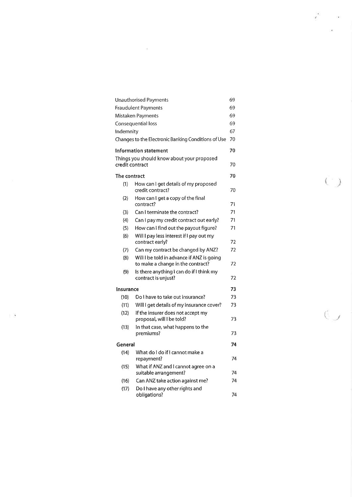| Unauthorised Payments                                                                 | 69 |
|---------------------------------------------------------------------------------------|----|
| <b>Fraudulent Payments</b>                                                            | 69 |
| Mistaken Payments                                                                     | 69 |
| Consequential loss                                                                    | 69 |
| Indemnity                                                                             | 67 |
| Changes to the Electronic Banking Conditions of Use                                   | 70 |
| Information statement                                                                 | 70 |
| Things you should know about your proposed<br>credit contract                         | 70 |
| The contract                                                                          | 70 |
| (1)<br>How can I get details of my proposed<br>credit contract?                       | 70 |
| How can I get a copy of the final<br>(2)<br>contract?                                 | 71 |
| (3)<br>Can I terminate the contract?                                                  | 71 |
| (4)<br>Can I pay my credit contract out early?                                        | 71 |
| (5)<br>How can I find out the payout figure?                                          | 71 |
| (6)<br>Will I pay less interest if I pay out my<br>contract early?                    | 72 |
| (7)<br>Can my contract be changed by ANZ?                                             | 72 |
| (8)<br>Will I be told in advance if ANZ is going<br>to make a change in the contract? | 72 |
| (9)<br>Is there anything I can do if I think my<br>contract is unjust?                | 72 |
| Insurance                                                                             | 73 |
| Do I have to take out insurance?<br>(10)                                              | 73 |
| Will I get details of my insurance cover?<br>(11)                                     | 73 |
| (12)<br>If the insurer does not accept my<br>proposal, will I be told?                | 73 |
| In that case, what happens to the<br>(13)<br>premiums?                                | 73 |
| General                                                                               | 74 |
| What do I do if I cannot make a<br>(14)<br>repayment?                                 | 74 |
| What if ANZ and I cannot agree on a<br>(15)<br>suitable arrangement?                  | 74 |
| Can ANZ take action against me?<br>(16)                                               | 74 |
| (17)<br>Do I have any other rights and                                                |    |
| obligations?                                                                          | 74 |

 $\pm$  3  $\pm$  0.000  $\pm$ 

 $\label{eq:2.1} \mathcal{A} = \mathcal{A} \otimes \mathcal{A}$ 

 $\left(\begin{array}{c} 1 \end{array}\right)$ 

 $\frac{1}{2}$  ,  $\frac{1}{2}$ 

 $\epsilon$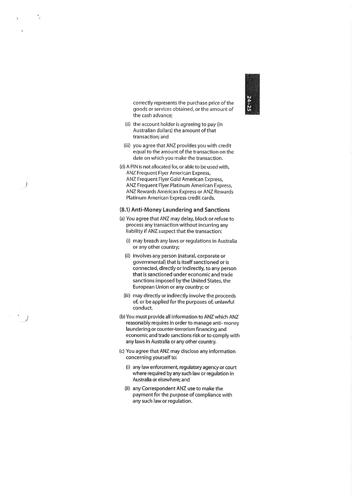N Þ I  $\overline{\phantom{a}}$ u

correctly represents the purchase price of the goods or services obtained, or the amount of the cash advance;

- (ii) the account holder is agreeing to pay (in Australian dollars) the amount of that transactíon; and
- (iii) you agree that ANZ provides you with credit equal to the amount of the transaction on the date on which you make the transaction.
- (d) A PIN is not allocated for, or able to be used with, ANZ Frequent Flyer American Express, ANZ Frequent Flyer Gold American Express, ANZ Frequent Flyer Platinum American Express, ANZ Rewards American Express or ANZ Rewards Platinum American Express credit cards.

Ĵ

#### (8.1) Anti-Money Laundering and Sanctions

- (a) You agree that ANZ may delay, block or refuse to process any transaction without incurring any liability if ANZ suspect that the transaction:
	- (i) may breach any laws or regulations in Australia or any other country;
	- (ii) involves any person (natural, corporate or governmental) that is itself sanctioned or is connected, directly or indirectly, to any person that is sanctioned under economic and trade sanctions imposed by the United States, the European Union or any country; or
	- (iii) may directly or indirectly involve the proceeds of, or be applied for the purposes of, unlawful conduct.
- (b) You must provide all information to ANZ which ANZ reasonably requires in order to manage anti-money laundering or counter-terrorism financing and economic and trade sanctions risk or to comply with any laws in Australia or any other country.
- (c) You agree that ANZ may disclose any information concerning yourself to:
	- (i) any law enforcement, regulatory agency or court where required by any such law or regulation in Australia or elsewhere; and
	- (ii) any Correspondent ANZ use to make the payment for the purpose of compliance with any such law or regulation.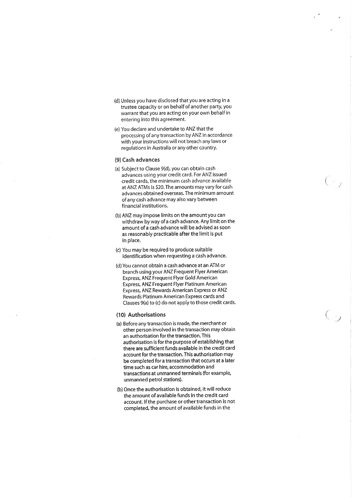- (d) Unless you have disclosed that you are acting in <sup>a</sup> trustee capacity or on behalf of another party, you warrant that you are acting on your own behalf in entering into this agreement,
- (e) You declare and undertake to ANZ that the processing of any transaction by ANZ in accordance with your instructions will not breach any laws or regulations in Australia or any other country.

#### (9) Cash advances

- (a) Subject to Clause 9(d), you can obtain cash advances using your credit card. For ANZ issued credit cards, the minimum cash advance available at ANZ ATMs is \$20, The amounts may vary for cash advances obtained overseas. The minimum amount ofany cash advance may also vary between financial institutions,
- (b) ANZ may impose llmits on the amount you can withdraw by way of a cash advance. Any limit on the amount of a cash advance will be advised as soon as reasonably practicable after the limlt is put in place.
- (c) You may be required to produce suitable identification when requesting a cash advance.
- (d) You cannot obtain a cash advance at an ATM or branch using your ANZ Frequent Flyer American Express, ANZ Frequent Flyer Gold American Express, ANZ Frequent Flyer Platinum American Express, ANZ Rewards American Express or ANZ Rewards Platinum American Express cards and Clauses 9(a) to (c) do not apply to those credit cards.

 $\zeta_{\omega}$ 

#### (10) Authorisations

- (a) Before any transaction is made, the merchant or other person involved in the transaction may obtain an authorisation for the transaction. This authorisation is for the purpose of establishing that there are sufficient funds available in the credit card account for the transaction. This authorisation may be completed for a transaction that occurs at a later time such as car hire, accommodation and transactions at unmanned terminals (for example unmanned petrol stations).
- (b) Once the authorisation is obtained, it will reduce the amount of available funds in the credit card account. If the purchase or other transaction is not completed, the amount of available funds in the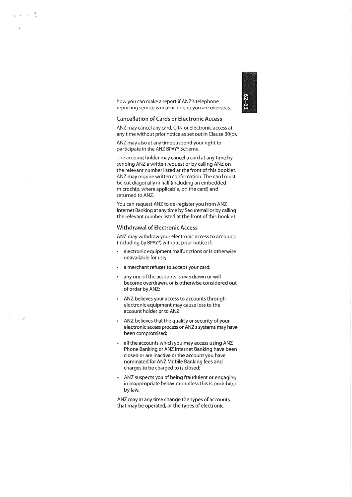

how you can make a report if ANZ's telephone reporting service is unavailable or you are overseas.

#### Cancellation of Cards or Electronic Access

ANZ may cancel any card, CRN or electronic access at any time without prior notice as set out in Clause 30(b).

ANZ may also at any time suspend your right to participate in the ANZ BPAY® Scheme.

The account holder may cancel a card at any time by sending ANZ a written request or by calling ANZ on the relevant number listed at the front of this booklet. ANZ may require written confirmation. The card must be cut diagonally in half (including an embedded microchip, where applicable, on the card) and returned to ANZ.

You can request ANZ to de-register you from ANZ Internet Banking at any time by Securemail or by calling the relevant number listed at the front of this booklet.

### Withdrawal of Electronic Access

ANZ may withdraw your electronic access to accounts (including by BPAY@) without prior notice if:

- . electronic equipment malfunctions or is otherwise unavailable for use;
- . a merchant refuses to accept your card;
- . any one of the accounts is overdrawn or will become overdrawn, or is otherwise considered out of order by ANZ;
- . ANZ believes your access to accounts through electronic equipment may cause loss to the account holder or to ANZ;
- . ANZ believes that the quality or securíty of your electronic access process or ANZ's systems may have been compromised;
- . all the accounts which you may access using ANZ Phone Banking or ANZ Internet Banking have been closed or are inactive or the account you have nominated for ANZ Mobile Banking fees and charges to be charged to is closed;
- . ANZ suspects you of being fraudulent or engaging in inappropriate behaviour unless this is prohibited by law.

ANZ may at any time change the types of accounts that may be operated, or the types of electronic